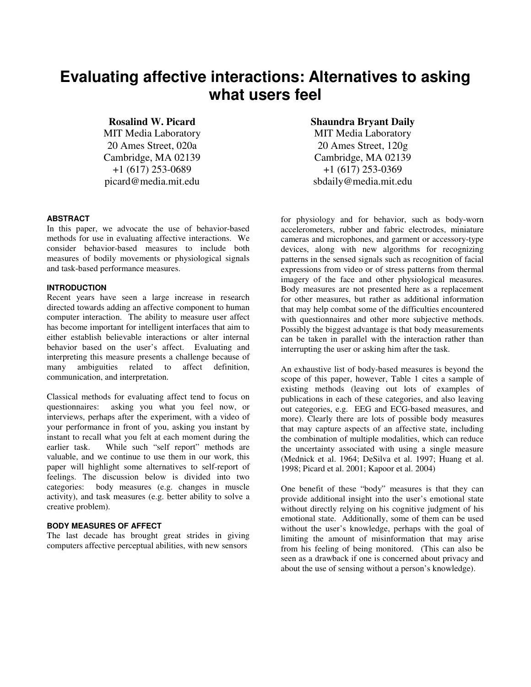# **Evaluating affective interactions: Alternatives to asking what users feel**

MIT Media Laboratory 20 Ames Street, 020a Cambridge, MA 02139 +1 (617) 253-0689

### **ABSTRACT**

In this paper, we advocate the use of behavior-based methods for use in evaluating affective interactions. We consider behavior-based measures to include both measures of bodily movements or physiological signals and task-based performance measures.

## **INTRODUCTION**

Recent years have seen a large increase in research directed towards adding an affective component to human computer interaction. The ability to measure user affect has become important for intelligent interfaces that aim to either establish believable interactions or alter internal behavior based on the user's affect. Evaluating and interpreting this measure presents a challenge because of many ambiguities related to affect definition, communication, and interpretation.

Classical methods for evaluating affect tend to focus on questionnaires: asking you what you feel now, or interviews, perhaps after the experiment, with a video of your performance in front of you, asking you instant by instant to recall what you felt at each moment during the earlier task. While such "self report" methods are valuable, and we continue to use them in our work, this paper will highlight some alternatives to self-report of feelings. The discussion below is divided into two categories: body measures (e.g. changes in muscle activity), and task measures (e.g. better ability to solve a creative problem).

## **BODY MEASURES OF AFFECT**

The last decade has brought great strides in giving computers affective perceptual abilities, with new sensors

# **Rosalind W. Picard Shaundra Bryant Daily**

MIT Media Laboratory 20 Ames Street, 120g Cambridge, MA 02139 +1 (617) 253-0369 picard@media.mit.edu sbdaily@media.mit.edu

> for physiology and for behavior, such as body-worn accelerometers, rubber and fabric electrodes, miniature cameras and microphones, and garment or accessory-type devices, along with new algorithms for recognizing patterns in the sensed signals such as recognition of facial expressions from video or of stress patterns from thermal imagery of the face and other physiological measures. Body measures are not presented here as a replacement for other measures, but rather as additional information that may help combat some of the difficulties encountered with questionnaires and other more subjective methods. Possibly the biggest advantage is that body measurements can be taken in parallel with the interaction rather than interrupting the user or asking him after the task.

> An exhaustive list of body-based measures is beyond the scope of this paper, however, Table 1 cites a sample of existing methods (leaving out lots of examples of publications in each of these categories, and also leaving out categories, e.g. EEG and ECG-based measures, and more). Clearly there are lots of possible body measures that may capture aspects of an affective state, including the combination of multiple modalities, which can reduce the uncertainty associated with using a single measure (Mednick et al. 1964; DeSilva et al. 1997; Huang et al. 1998; Picard et al. 2001; Kapoor et al. 2004)

> One benefit of these "body" measures is that they can provide additional insight into the user's emotional state without directly relying on his cognitive judgment of his emotional state. Additionally, some of them can be used without the user's knowledge, perhaps with the goal of limiting the amount of misinformation that may arise from his feeling of being monitored. (This can also be seen as a drawback if one is concerned about privacy and about the use of sensing without a person's knowledge).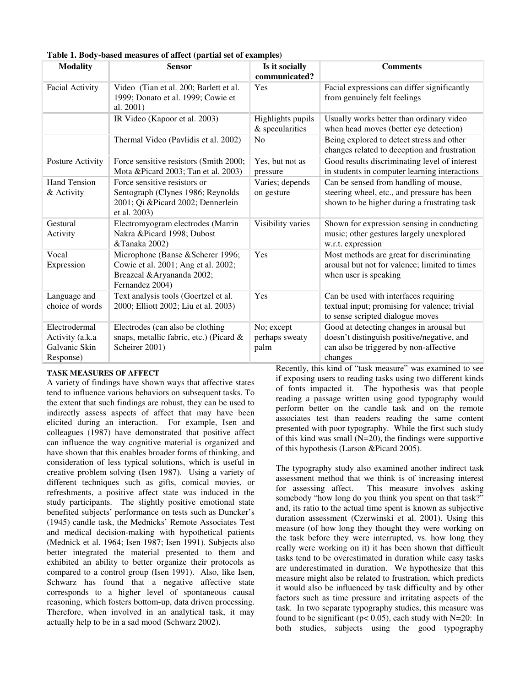| <b>Modality</b>                                                | <b>Sensor</b>                                                                                                             | Is it socially<br>communicated?      | <b>Comments</b>                                                                                                                             |
|----------------------------------------------------------------|---------------------------------------------------------------------------------------------------------------------------|--------------------------------------|---------------------------------------------------------------------------------------------------------------------------------------------|
| <b>Facial Activity</b>                                         | Video (Tian et al. 200; Barlett et al.<br>1999; Donato et al. 1999; Cowie et<br>al. 2001)                                 | Yes                                  | Facial expressions can differ significantly<br>from genuinely felt feelings                                                                 |
|                                                                | IR Video (Kapoor et al. 2003)                                                                                             | Highlights pupils<br>& specularities | Usually works better than ordinary video<br>when head moves (better eye detection)                                                          |
|                                                                | Thermal Video (Pavlidis et al. 2002)                                                                                      | N <sub>0</sub>                       | Being explored to detect stress and other<br>changes related to deception and frustration                                                   |
| Posture Activity                                               | Force sensitive resistors (Smith 2000;<br>Mota &Picard 2003; Tan et al. 2003)                                             | Yes, but not as<br>pressure          | Good results discriminating level of interest<br>in students in computer learning interactions                                              |
| <b>Hand Tension</b><br>& Activity                              | Force sensitive resistors or<br>Sentograph (Clynes 1986; Reynolds<br>2001; Qi &Picard 2002; Dennerlein<br>et al. 2003)    | Varies; depends<br>on gesture        | Can be sensed from handling of mouse,<br>steering wheel, etc., and pressure has been<br>shown to be higher during a frustrating task        |
| Gestural<br>Activity                                           | Electromyogram electrodes (Marrin<br>Nakra &Picard 1998; Dubost<br>&Tanaka 2002)                                          | Visibility varies                    | Shown for expression sensing in conducting<br>music; other gestures largely unexplored<br>w.r.t. expression                                 |
| Vocal<br>Expression                                            | Microphone (Banse & Scherer 1996;<br>Cowie et al. 2001; Ang et al. 2002;<br>Breazeal & Aryananda 2002;<br>Fernandez 2004) | Yes                                  | Most methods are great for discriminating<br>arousal but not for valence; limited to times<br>when user is speaking                         |
| Language and<br>choice of words                                | Text analysis tools (Goertzel et al.<br>2000; Elliott 2002; Liu et al. 2003)                                              | Yes                                  | Can be used with interfaces requiring<br>textual input; promising for valence; trivial<br>to sense scripted dialogue moves                  |
| Electrodermal<br>Activity (a.k.a<br>Galvanic Skin<br>Response) | Electrodes (can also be clothing<br>snaps, metallic fabric, etc.) (Picard $\&$<br>Scheirer 2001)                          | No; except<br>perhaps sweaty<br>palm | Good at detecting changes in arousal but<br>doesn't distinguish positive/negative, and<br>can also be triggered by non-affective<br>changes |

**Table 1. Body-based measures of affect (partial set of examples)**

## **TASK MEASURES OF AFFECT**

A variety of findings have shown ways that affective states tend to influence various behaviors on subsequent tasks. To the extent that such findings are robust, they can be used to indirectly assess aspects of affect that may have been elicited during an interaction. For example, Isen and colleagues (1987) have demonstrated that positive affect can influence the way cognitive material is organized and have shown that this enables broader forms of thinking, and consideration of less typical solutions, which is useful in creative problem solving (Isen 1987). Using a variety of different techniques such as gifts, comical movies, or refreshments, a positive affect state was induced in the study participants. The slightly positive emotional state benefited subjects' performance on tests such as Duncker's (1945) candle task, the Mednicks' Remote Associates Test and medical decision-making with hypothetical patients (Mednick et al. 1964; Isen 1987; Isen 1991). Subjects also better integrated the material presented to them and exhibited an ability to better organize their protocols as compared to a control group (Isen 1991). Also, like Isen, Schwarz has found that a negative affective state corresponds to a higher level of spontaneous causal reasoning, which fosters bottom-up, data driven processing. Therefore, when involved in an analytical task, it may actually help to be in a sad mood (Schwarz 2002).

Recently, this kind of "task measure" was examined to see if exposing users to reading tasks using two different kinds of fonts impacted it. The hypothesis was that people reading a passage written using good typography would perform better on the candle task and on the remote associates test than readers reading the same content presented with poor typography. While the first such study of this kind was small (N=20), the findings were supportive of this hypothesis (Larson &Picard 2005).

The typography study also examined another indirect task assessment method that we think is of increasing interest for assessing affect. This measure involves asking somebody "how long do you think you spent on that task?" and, its ratio to the actual time spent is known as subjective duration assessment (Czerwinski et al. 2001). Using this measure (of how long they thought they were working on the task before they were interrupted, vs. how long they really were working on it) it has been shown that difficult tasks tend to be overestimated in duration while easy tasks are underestimated in duration. We hypothesize that this measure might also be related to frustration, which predicts it would also be influenced by task difficulty and by other factors such as time pressure and irritating aspects of the task. In two separate typography studies, this measure was found to be significant ( $p < 0.05$ ), each study with N=20: In both studies, subjects using the good typography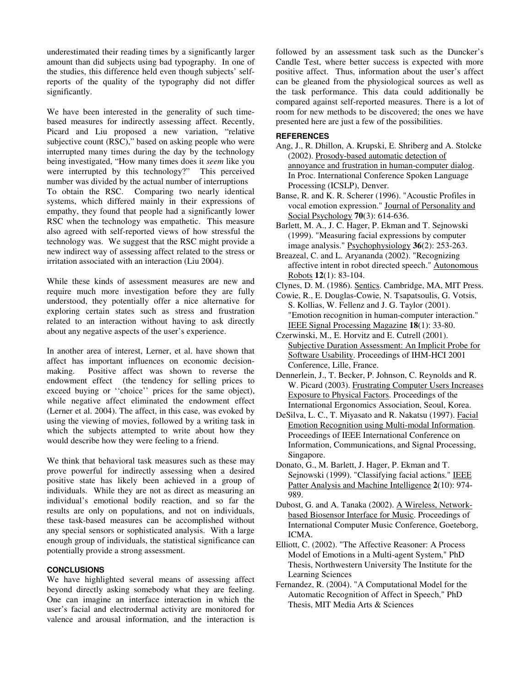underestimated their reading times by a significantly larger amount than did subjects using bad typography. In one of the studies, this difference held even though subjects' selfreports of the quality of the typography did not differ significantly.

We have been interested in the generality of such timebased measures for indirectly assessing affect. Recently, Picard and Liu proposed a new variation, "relative subjective count (RSC)," based on asking people who were interrupted many times during the day by the technology being investigated, "How many times does it *seem* like you were interrupted by this technology?" This perceived number was divided by the actual number of interruptions To obtain the RSC. Comparing two nearly identical systems, which differed mainly in their expressions of empathy, they found that people had a significantly lower RSC when the technology was empathetic. This measure also agreed with self-reported views of how stressful the technology was. We suggest that the RSC might provide a new indirect way of assessing affect related to the stress or irritation associated with an interaction (Liu 2004).

While these kinds of assessment measures are new and require much more investigation before they are fully understood, they potentially offer a nice alternative for exploring certain states such as stress and frustration related to an interaction without having to ask directly about any negative aspects of the user's experience.

In another area of interest, Lerner, et al. have shown that affect has important influences on economic decisionmaking. Positive affect was shown to reverse the endowment effect (the tendency for selling prices to exceed buying or ''choice'' prices for the same object), while negative affect eliminated the endowment effect (Lerner et al. 2004). The affect, in this case, was evoked by using the viewing of movies, followed by a writing task in which the subjects attempted to write about how they would describe how they were feeling to a friend.

We think that behavioral task measures such as these may prove powerful for indirectly assessing when a desired positive state has likely been achieved in a group of individuals. While they are not as direct as measuring an individual's emotional bodily reaction, and so far the results are only on populations, and not on individuals, these task-based measures can be accomplished without any special sensors or sophisticated analysis. With a large enough group of individuals, the statistical significance can potentially provide a strong assessment.

### **CONCLUSIONS**

We have highlighted several means of assessing affect beyond directly asking somebody what they are feeling. One can imagine an interface interaction in which the user's facial and electrodermal activity are monitored for valence and arousal information, and the interaction is

followed by an assessment task such as the Duncker's Candle Test, where better success is expected with more positive affect. Thus, information about the user's affect can be gleaned from the physiological sources as well as the task performance. This data could additionally be compared against self-reported measures. There is a lot of room for new methods to be discovered; the ones we have presented here are just a few of the possibilities.

#### **REFERENCES**

- Ang, J., R. Dhillon, A. Krupski, E. Shriberg and A. Stolcke (2002). Prosody-based automatic detection of annoyance and frustration in human-computer dialog. In Proc. International Conference Spoken Language Processing (ICSLP), Denver.
- Banse, R. and K. R. Scherer (1996). "Acoustic Profiles in vocal emotion expression." Journal of Personality and Social Psychology **70**(3): 614-636.
- Barlett, M. A., J. C. Hager, P. Ekman and T. Sejnowski (1999). "Measuring facial expressions by computer image analysis." Psychophysiology **36**(2): 253-263.
- Breazeal, C. and L. Aryananda (2002). "Recognizing affective intent in robot directed speech." Autonomous Robots **12**(1): 83-104.
- Clynes, D. M. (1986). Sentics. Cambridge, MA, MIT Press.
- Cowie, R., E. Douglas-Cowie, N. Tsapatsoulis, G. Votsis, S. Kollias, W. Fellenz and J. G. Taylor (2001). "Emotion recognition in human-computer interaction." IEEE Signal Processing Magazine **18**(1): 33-80.
- Czerwinski, M., E. Horvitz and E. Cutrell (2001). Subjective Duration Assessment: An Implicit Probe for Software Usability. Proceedings of IHM-HCI 2001 Conference, Lille, France.
- Dennerlein, J., T. Becker, P. Johnson, C. Reynolds and R. W. Picard (2003). Frustrating Computer Users Increases Exposure to Physical Factors. Proceedings of the International Ergonomics Association, Seoul, Korea.
- DeSilva, L. C., T. Miyasato and R. Nakatsu (1997). Facial Emotion Recognition using Multi-modal Information. Proceedings of IEEE International Conference on Information, Communications, and Signal Processing, Singapore.
- Donato, G., M. Barlett, J. Hager, P. Ekman and T. Sejnowski (1999). "Classifying facial actions." IEEE Patter Analysis and Machine Intelligence **2**(10): 974- 989.
- Dubost, G. and A. Tanaka (2002). A Wireless, Networkbased Biosensor Interface for Music. Proceedings of International Computer Music Conference, Goeteborg, ICMA.
- Elliott, C. (2002). "The Affective Reasoner: A Process Model of Emotions in a Multi-agent System," PhD Thesis, Northwestern University The Institute for the Learning Sciences
- Fernandez, R. (2004). "A Computational Model for the Automatic Recognition of Affect in Speech," PhD Thesis, MIT Media Arts & Sciences